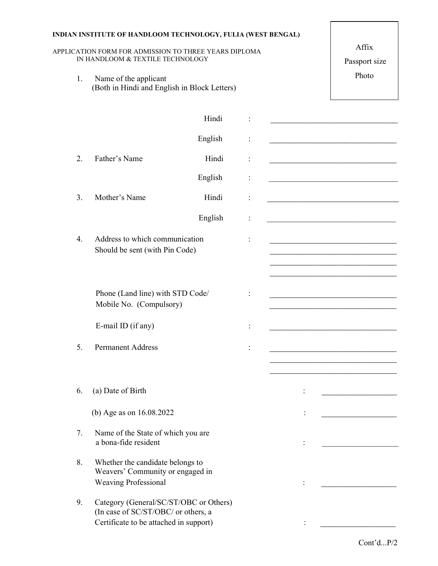| INDIAN INSTITUTE OF HANDLOOM TECHNOLOGY, FULIA (WEST BENGAL)<br>APPLICATION FORM FOR ADMISSION TO THREE YEARS DIPLOMA | IN HANDLOOM & TEXTILE TECHNOLOGY | Affix<br>Passport size                                                                                                  |       |                                                                                                                                                                                                                    |
|-----------------------------------------------------------------------------------------------------------------------|----------------------------------|-------------------------------------------------------------------------------------------------------------------------|-------|--------------------------------------------------------------------------------------------------------------------------------------------------------------------------------------------------------------------|
|                                                                                                                       | 1.                               | Name of the applicant<br>(Both in Hindi and English in Block Letters)                                                   | Photo |                                                                                                                                                                                                                    |
|                                                                                                                       |                                  | Hindi                                                                                                                   |       |                                                                                                                                                                                                                    |
|                                                                                                                       |                                  | English                                                                                                                 |       |                                                                                                                                                                                                                    |
|                                                                                                                       | 2.                               | Father's Name<br>Hindi                                                                                                  |       |                                                                                                                                                                                                                    |
|                                                                                                                       |                                  | English                                                                                                                 |       |                                                                                                                                                                                                                    |
|                                                                                                                       | 3.                               | Mother's Name<br>Hindi                                                                                                  |       | <u> 1989 - Johann John Stoff, deutscher Stoffen und der Stoffen und der Stoffen und der Stoffen und der Stoffen u</u>                                                                                              |
|                                                                                                                       |                                  | English                                                                                                                 |       |                                                                                                                                                                                                                    |
|                                                                                                                       | $\overline{4}$ .                 | Address to which communication<br>Should be sent (with Pin Code)                                                        |       | <u> 1989 - Johann Barbara, martin amerikan basar dan bagi dan bagi dalam bagi dalam bagi dalam bagi dalam bagi da</u><br>the control of the control of the control of the control of the control of the control of |
|                                                                                                                       |                                  | Phone (Land line) with STD Code/<br>Mobile No. (Compulsory)                                                             |       | <u> 1989 - Johann Harry Harry Harry Harry Harry Harry Harry Harry Harry Harry Harry Harry Harry Harry Harry Harry</u>                                                                                              |
|                                                                                                                       |                                  | E-mail ID (if any)                                                                                                      |       |                                                                                                                                                                                                                    |
|                                                                                                                       | 5.                               | <b>Permanent Address</b>                                                                                                |       |                                                                                                                                                                                                                    |
|                                                                                                                       |                                  |                                                                                                                         |       |                                                                                                                                                                                                                    |
|                                                                                                                       | 6.                               | (a) Date of Birth                                                                                                       |       |                                                                                                                                                                                                                    |
|                                                                                                                       |                                  | (b) Age as on 16.08.2022                                                                                                |       |                                                                                                                                                                                                                    |
|                                                                                                                       | 7.                               | Name of the State of which you are<br>a bona-fide resident                                                              |       |                                                                                                                                                                                                                    |
|                                                                                                                       | 8.                               | Whether the candidate belongs to<br>Weavers' Community or engaged in<br><b>Weaving Professional</b>                     |       |                                                                                                                                                                                                                    |
|                                                                                                                       | 9.                               | Category (General/SC/ST/OBC or Others)<br>(In case of SC/ST/OBC/ or others, a<br>Certificate to be attached in support) |       |                                                                                                                                                                                                                    |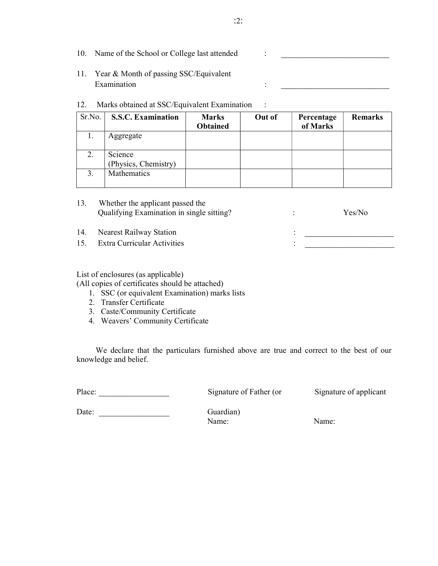10. Name of the School or College last attended : \_\_\_\_\_\_\_\_\_\_\_\_\_\_\_\_\_\_\_\_\_\_\_\_\_\_\_\_\_\_ 11. Year & Month of passing SSC/Equivalent

Examination :

## 12. Marks obtained at SSC/Equivalent Examination :

| Sr.No. | <b>S.S.C. Examination</b>       | <b>Marks</b><br><b>Obtained</b> | Out of | Percentage<br>of Marks | <b>Remarks</b> |
|--------|---------------------------------|---------------------------------|--------|------------------------|----------------|
| 1.     | Aggregate                       |                                 |        |                        |                |
| 2.     | Science<br>(Physics, Chemistry) |                                 |        |                        |                |
| 3.     | Mathematics                     |                                 |        |                        |                |

|     | Whether the applicant passed the          |        |  |
|-----|-------------------------------------------|--------|--|
|     | Qualifying Examination in single sitting? | Yes/No |  |
|     |                                           |        |  |
| 14. | Nearest Railway Station                   |        |  |
| 15. | Extra Curricular Activities               |        |  |

## List of enclosures (as applicable)

(All copies of certificates should be attached)

- 1. SSC (or equivalent Examination) marks lists
- 2. Transfer Certificate
- 3. Caste/Community Certificate
- 4. Weavers' Community Certificate

We declare that the particulars furnished above are true and correct to the best of our knowledge and belief.

Place: \_\_\_\_\_\_\_\_\_\_\_\_\_\_\_\_\_\_\_\_\_\_\_\_ Signature of Father (or Signature of applicant

Date: Guardian)

Name: Name: Name: